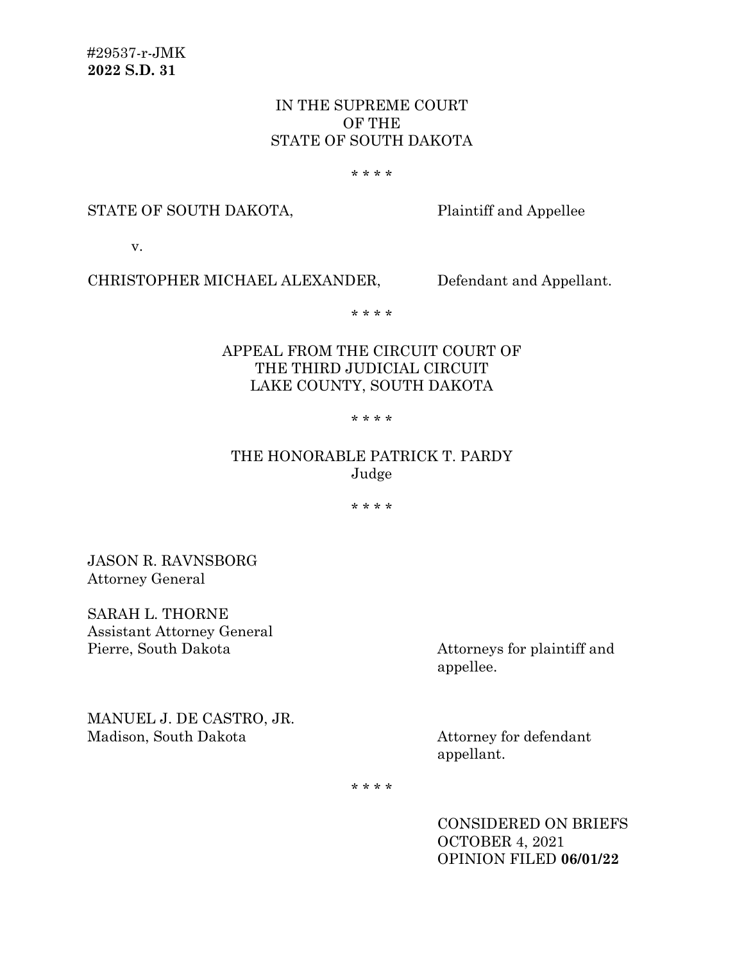# IN THE SUPREME COURT OF THE STATE OF SOUTH DAKOTA

#### \* \* \* \*

### STATE OF SOUTH DAKOTA, Plaintiff and Appellee

v.

# CHRISTOPHER MICHAEL ALEXANDER, Defendant and Appellant.

\* \* \* \*

## APPEAL FROM THE CIRCUIT COURT OF THE THIRD JUDICIAL CIRCUIT LAKE COUNTY, SOUTH DAKOTA

### \* \* \* \*

# THE HONORABLE PATRICK T. PARDY Judge

\* \* \* \*

JASON R. RAVNSBORG Attorney General

SARAH L. THORNE Assistant Attorney General Pierre, South Dakota Attorneys for plaintiff and

appellee.

MANUEL J. DE CASTRO, JR. Madison, South Dakota Attorney for defendant

appellant.

\* \* \* \*

CONSIDERED ON BRIEFS OCTOBER 4, 2021 OPINION FILED **06/01/22**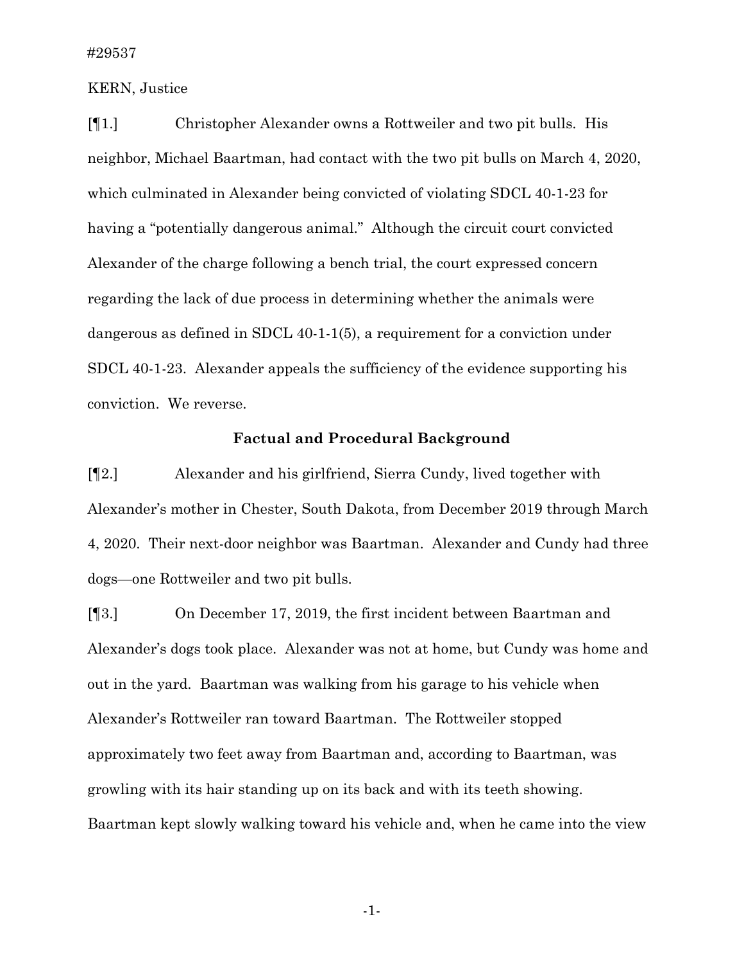### KERN, Justice

[¶1.] Christopher Alexander owns a Rottweiler and two pit bulls. His neighbor, Michael Baartman, had contact with the two pit bulls on March 4, 2020, which culminated in Alexander being convicted of violating SDCL 40-1-23 for having a "potentially dangerous animal." Although the circuit court convicted Alexander of the charge following a bench trial, the court expressed concern regarding the lack of due process in determining whether the animals were dangerous as defined in SDCL 40-1-1(5), a requirement for a conviction under SDCL 40-1-23. Alexander appeals the sufficiency of the evidence supporting his conviction. We reverse.

## **Factual and Procedural Background**

[¶2.] Alexander and his girlfriend, Sierra Cundy, lived together with Alexander's mother in Chester, South Dakota, from December 2019 through March 4, 2020. Their next-door neighbor was Baartman. Alexander and Cundy had three dogs—one Rottweiler and two pit bulls.

[¶3.] On December 17, 2019, the first incident between Baartman and Alexander's dogs took place. Alexander was not at home, but Cundy was home and out in the yard. Baartman was walking from his garage to his vehicle when Alexander's Rottweiler ran toward Baartman. The Rottweiler stopped approximately two feet away from Baartman and, according to Baartman, was growling with its hair standing up on its back and with its teeth showing. Baartman kept slowly walking toward his vehicle and, when he came into the view

-1-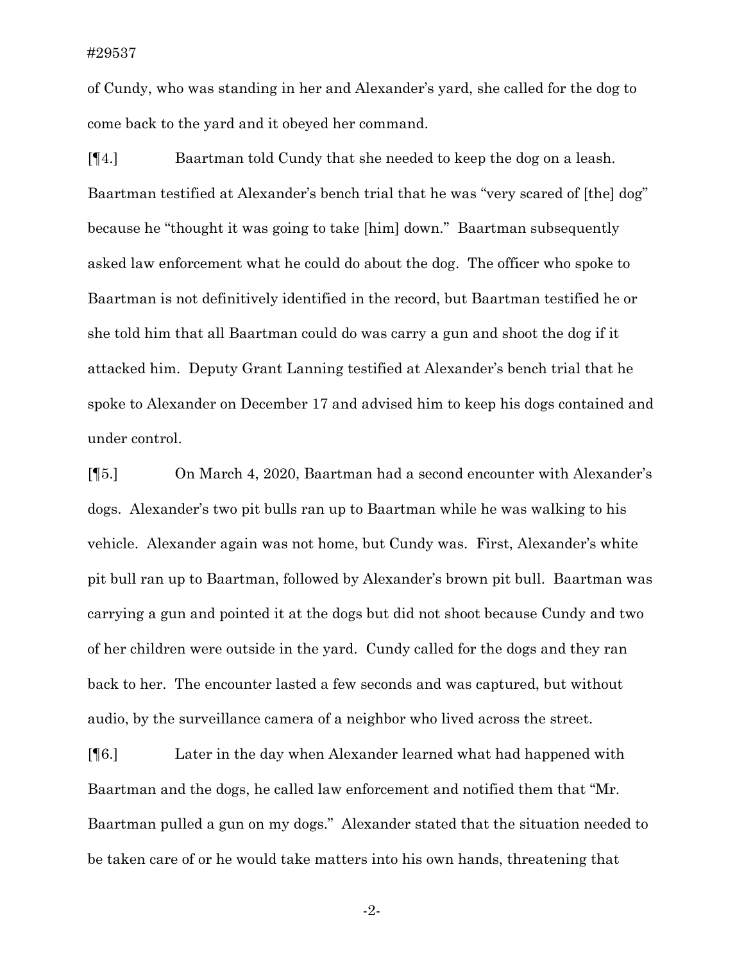#### #29537

of Cundy, who was standing in her and Alexander's yard, she called for the dog to come back to the yard and it obeyed her command.

[¶4.] Baartman told Cundy that she needed to keep the dog on a leash. Baartman testified at Alexander's bench trial that he was "very scared of [the] dog" because he "thought it was going to take [him] down." Baartman subsequently asked law enforcement what he could do about the dog. The officer who spoke to Baartman is not definitively identified in the record, but Baartman testified he or she told him that all Baartman could do was carry a gun and shoot the dog if it attacked him. Deputy Grant Lanning testified at Alexander's bench trial that he spoke to Alexander on December 17 and advised him to keep his dogs contained and under control.

[¶5.] On March 4, 2020, Baartman had a second encounter with Alexander's dogs. Alexander's two pit bulls ran up to Baartman while he was walking to his vehicle. Alexander again was not home, but Cundy was. First, Alexander's white pit bull ran up to Baartman, followed by Alexander's brown pit bull. Baartman was carrying a gun and pointed it at the dogs but did not shoot because Cundy and two of her children were outside in the yard. Cundy called for the dogs and they ran back to her. The encounter lasted a few seconds and was captured, but without audio, by the surveillance camera of a neighbor who lived across the street.

[¶6.] Later in the day when Alexander learned what had happened with Baartman and the dogs, he called law enforcement and notified them that "Mr. Baartman pulled a gun on my dogs." Alexander stated that the situation needed to be taken care of or he would take matters into his own hands, threatening that

-2-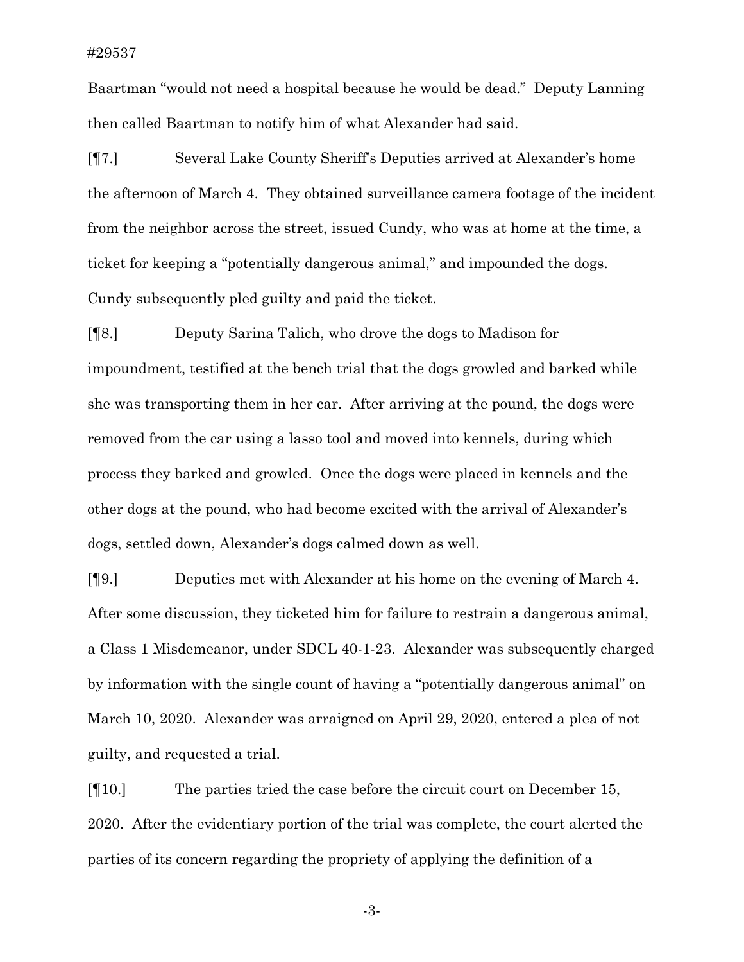### #29537

Baartman "would not need a hospital because he would be dead." Deputy Lanning then called Baartman to notify him of what Alexander had said.

[¶7.] Several Lake County Sheriff's Deputies arrived at Alexander's home the afternoon of March 4. They obtained surveillance camera footage of the incident from the neighbor across the street, issued Cundy, who was at home at the time, a ticket for keeping a "potentially dangerous animal," and impounded the dogs. Cundy subsequently pled guilty and paid the ticket.

[¶8.] Deputy Sarina Talich, who drove the dogs to Madison for impoundment, testified at the bench trial that the dogs growled and barked while she was transporting them in her car. After arriving at the pound, the dogs were removed from the car using a lasso tool and moved into kennels, during which process they barked and growled. Once the dogs were placed in kennels and the other dogs at the pound, who had become excited with the arrival of Alexander's dogs, settled down, Alexander's dogs calmed down as well.

[¶9.] Deputies met with Alexander at his home on the evening of March 4. After some discussion, they ticketed him for failure to restrain a dangerous animal, a Class 1 Misdemeanor, under SDCL 40-1-23. Alexander was subsequently charged by information with the single count of having a "potentially dangerous animal" on March 10, 2020. Alexander was arraigned on April 29, 2020, entered a plea of not guilty, and requested a trial.

[¶10.] The parties tried the case before the circuit court on December 15, 2020. After the evidentiary portion of the trial was complete, the court alerted the parties of its concern regarding the propriety of applying the definition of a

-3-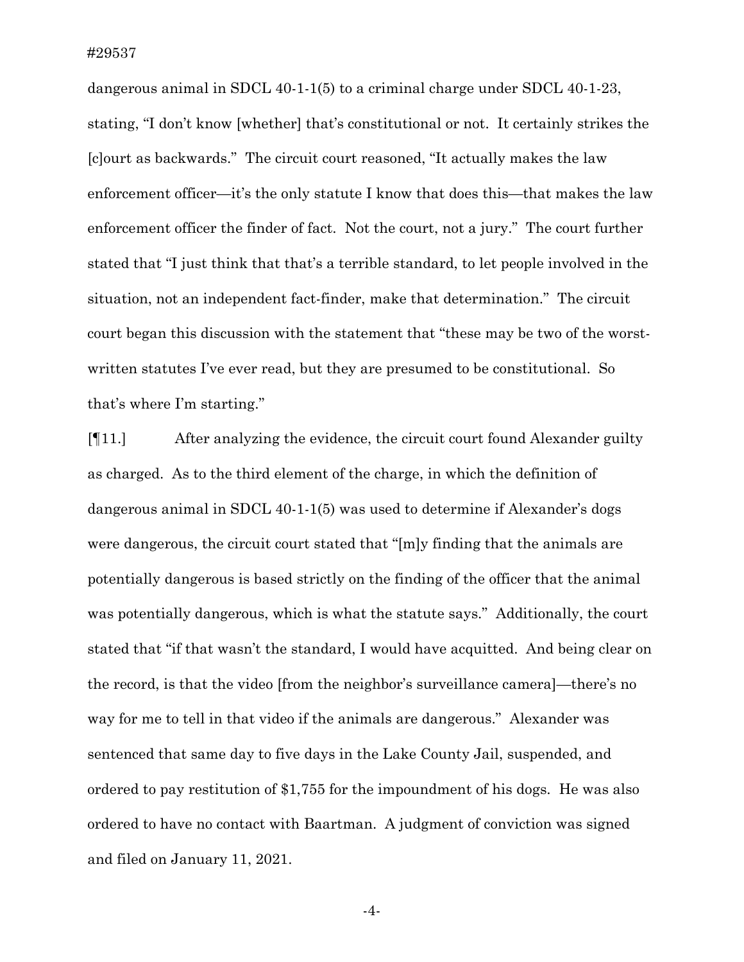dangerous animal in SDCL 40-1-1(5) to a criminal charge under SDCL 40-1-23, stating, "I don't know [whether] that's constitutional or not. It certainly strikes the [c]ourt as backwards." The circuit court reasoned, "It actually makes the law enforcement officer—it's the only statute I know that does this—that makes the law enforcement officer the finder of fact. Not the court, not a jury." The court further stated that "I just think that that's a terrible standard, to let people involved in the situation, not an independent fact-finder, make that determination." The circuit court began this discussion with the statement that "these may be two of the worstwritten statutes I've ever read, but they are presumed to be constitutional. So that's where I'm starting."

[¶11.] After analyzing the evidence, the circuit court found Alexander guilty as charged. As to the third element of the charge, in which the definition of dangerous animal in SDCL 40-1-1(5) was used to determine if Alexander's dogs were dangerous, the circuit court stated that "[m]y finding that the animals are potentially dangerous is based strictly on the finding of the officer that the animal was potentially dangerous, which is what the statute says." Additionally, the court stated that "if that wasn't the standard, I would have acquitted. And being clear on the record, is that the video [from the neighbor's surveillance camera]—there's no way for me to tell in that video if the animals are dangerous." Alexander was sentenced that same day to five days in the Lake County Jail, suspended, and ordered to pay restitution of \$1,755 for the impoundment of his dogs. He was also ordered to have no contact with Baartman. A judgment of conviction was signed and filed on January 11, 2021.

-4-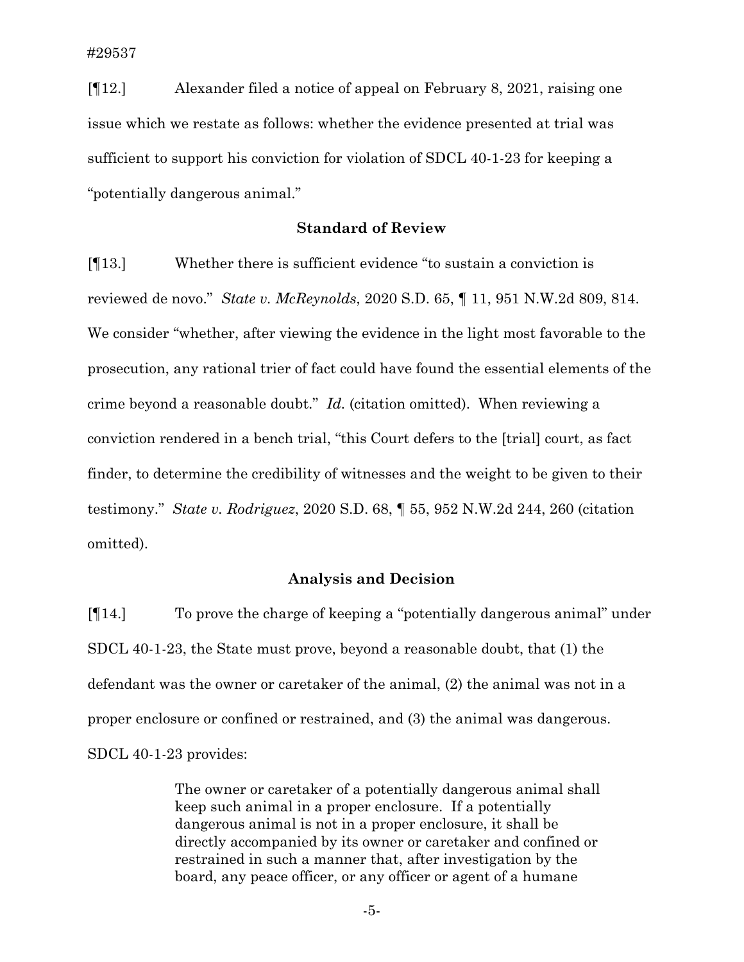[¶12.] Alexander filed a notice of appeal on February 8, 2021, raising one issue which we restate as follows: whether the evidence presented at trial was sufficient to support his conviction for violation of SDCL 40-1-23 for keeping a "potentially dangerous animal."

### **Standard of Review**

[¶13.] Whether there is sufficient evidence "to sustain a conviction is reviewed de novo." *State v. McReynolds*, 2020 S.D. 65, ¶ 11, 951 N.W.2d 809, 814. We consider "whether, after viewing the evidence in the light most favorable to the prosecution, any rational trier of fact could have found the essential elements of the crime beyond a reasonable doubt." *Id.* (citation omitted). When reviewing a conviction rendered in a bench trial, "this Court defers to the [trial] court, as fact finder, to determine the credibility of witnesses and the weight to be given to their testimony." *State v. Rodriguez*, 2020 S.D. 68, ¶ 55, 952 N.W.2d 244, 260 (citation omitted).

### **Analysis and Decision**

[¶14.] To prove the charge of keeping a "potentially dangerous animal" under SDCL 40-1-23, the State must prove, beyond a reasonable doubt, that (1) the defendant was the owner or caretaker of the animal, (2) the animal was not in a proper enclosure or confined or restrained, and (3) the animal was dangerous. SDCL 40-1-23 provides:

> The owner or caretaker of a potentially dangerous animal shall keep such animal in a proper enclosure. If a potentially dangerous animal is not in a proper enclosure, it shall be directly accompanied by its owner or caretaker and confined or restrained in such a manner that, after investigation by the board, any peace officer, or any officer or agent of a humane

> > -5-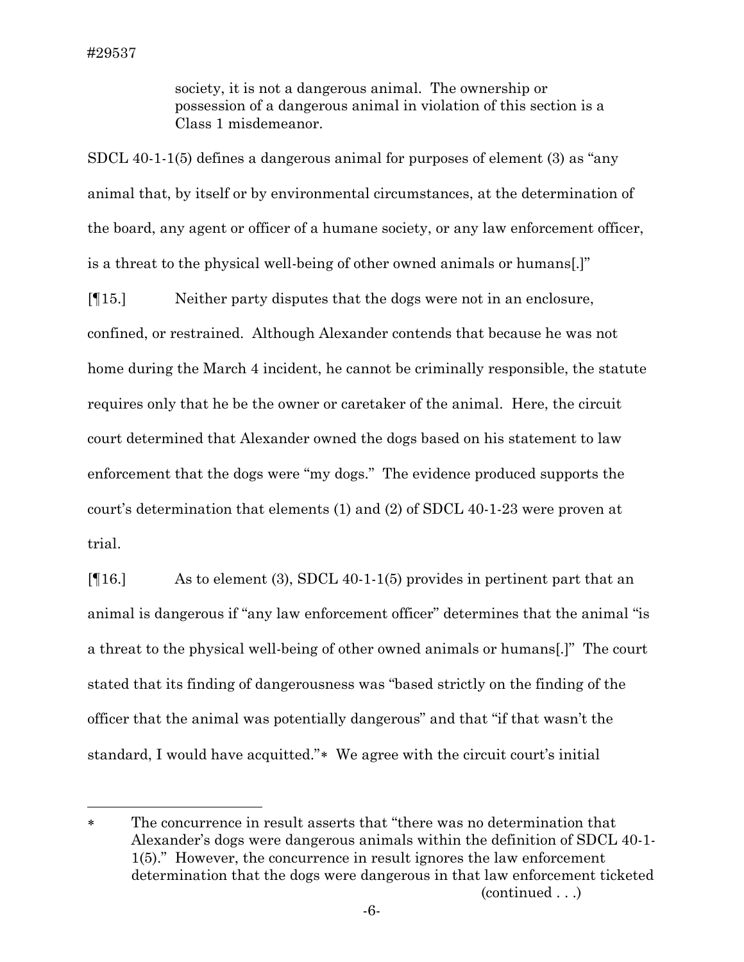society, it is not a dangerous animal. The ownership or possession of a dangerous animal in violation of this section is a Class 1 misdemeanor.

SDCL 40-1-1(5) defines a dangerous animal for purposes of element (3) as "any animal that, by itself or by environmental circumstances, at the determination of the board, any agent or officer of a humane society, or any law enforcement officer, is a threat to the physical well-being of other owned animals or humans[.]"

[¶15.] Neither party disputes that the dogs were not in an enclosure, confined, or restrained. Although Alexander contends that because he was not home during the March 4 incident, he cannot be criminally responsible, the statute requires only that he be the owner or caretaker of the animal. Here, the circuit court determined that Alexander owned the dogs based on his statement to law enforcement that the dogs were "my dogs." The evidence produced supports the court's determination that elements (1) and (2) of SDCL 40-1-23 were proven at trial.

[¶16.] As to element (3), SDCL 40-1-1(5) provides in pertinent part that an animal is dangerous if "any law enforcement officer" determines that the animal "is a threat to the physical well-being of other owned animals or humans[.]" The court stated that its finding of dangerousness was "based strictly on the finding of the officer that the animal was potentially dangerous" and that "if that wasn't the standard, I would have acquitted."[∗](#page-6-0) We agree with the circuit court's initial

<span id="page-6-0"></span><sup>∗</sup> The concurrence in result asserts that "there was no determination that Alexander's dogs were dangerous animals within the definition of SDCL 40-1- 1(5)." However, the concurrence in result ignores the law enforcement determination that the dogs were dangerous in that law enforcement ticketed (continued . . .)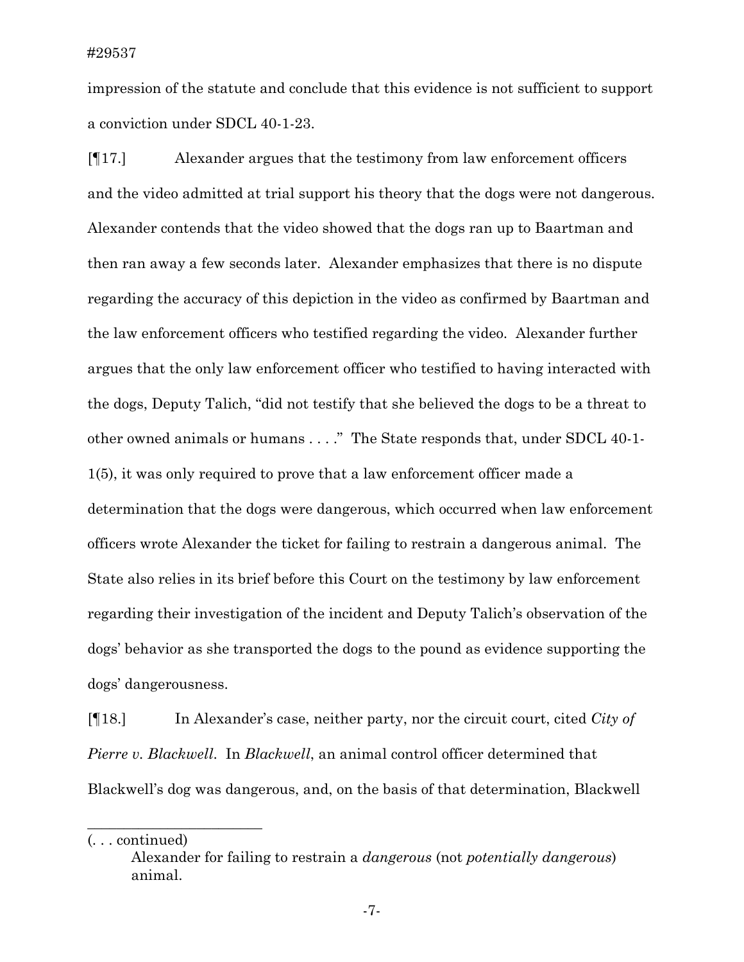impression of the statute and conclude that this evidence is not sufficient to support a conviction under SDCL 40-1-23.

[¶17.] Alexander argues that the testimony from law enforcement officers and the video admitted at trial support his theory that the dogs were not dangerous. Alexander contends that the video showed that the dogs ran up to Baartman and then ran away a few seconds later. Alexander emphasizes that there is no dispute regarding the accuracy of this depiction in the video as confirmed by Baartman and the law enforcement officers who testified regarding the video. Alexander further argues that the only law enforcement officer who testified to having interacted with the dogs, Deputy Talich, "did not testify that she believed the dogs to be a threat to other owned animals or humans . . . ." The State responds that, under SDCL 40-1- 1(5), it was only required to prove that a law enforcement officer made a determination that the dogs were dangerous, which occurred when law enforcement officers wrote Alexander the ticket for failing to restrain a dangerous animal. The State also relies in its brief before this Court on the testimony by law enforcement regarding their investigation of the incident and Deputy Talich's observation of the dogs' behavior as she transported the dogs to the pound as evidence supporting the dogs' dangerousness.

[¶18.] In Alexander's case, neither party, nor the circuit court, cited *City of Pierre v. Blackwell*. In *Blackwell*, an animal control officer determined that Blackwell's dog was dangerous, and, on the basis of that determination, Blackwell

 $\overline{\phantom{a}}$  , where  $\overline{\phantom{a}}$  , where  $\overline{\phantom{a}}$  , where  $\overline{\phantom{a}}$ 

<sup>(. . .</sup> continued)

Alexander for failing to restrain a *dangerous* (not *potentially dangerous*) animal.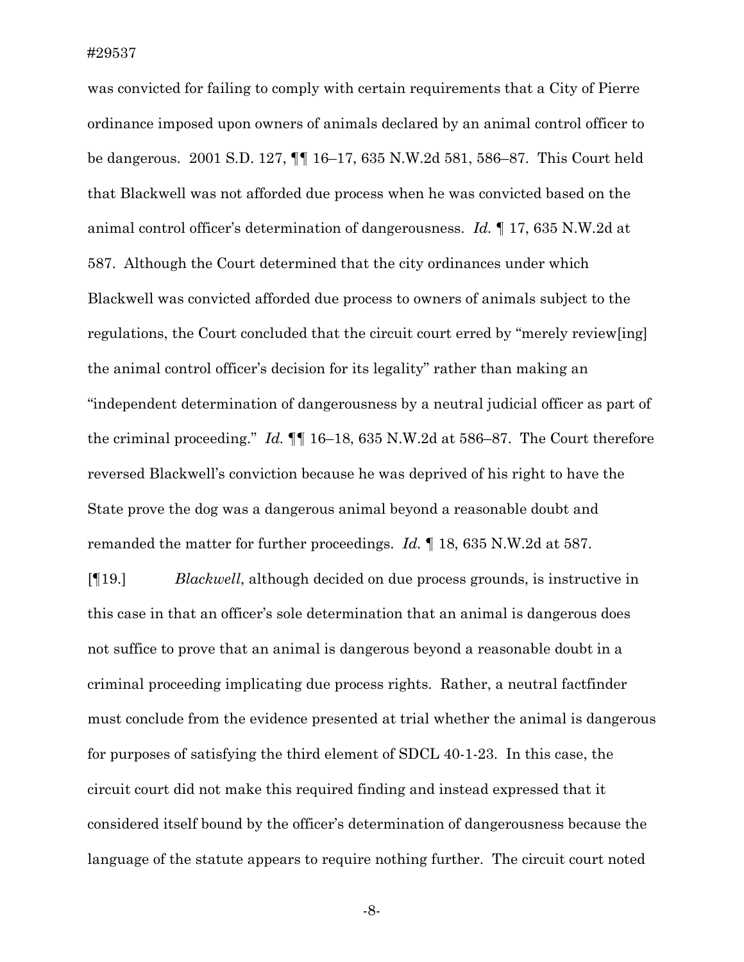was convicted for failing to comply with certain requirements that a City of Pierre ordinance imposed upon owners of animals declared by an animal control officer to be dangerous.2001 S.D. 127, ¶¶ 16–17, 635 N.W.2d 581, 586–87. This Court held that Blackwell was not afforded due process when he was convicted based on the animal control officer's determination of dangerousness. *Id.* ¶ 17, 635 N.W.2d at 587. Although the Court determined that the city ordinances under which Blackwell was convicted afforded due process to owners of animals subject to the regulations, the Court concluded that the circuit court erred by "merely review[ing] the animal control officer's decision for its legality" rather than making an "independent determination of dangerousness by a neutral judicial officer as part of the criminal proceeding." *Id.* ¶¶ 16–18, 635 N.W.2d at 586–87. The Court therefore reversed Blackwell's conviction because he was deprived of his right to have the State prove the dog was a dangerous animal beyond a reasonable doubt and remanded the matter for further proceedings. *Id.* ¶ 18, 635 N.W.2d at 587.

[¶19.] *Blackwell*, although decided on due process grounds, is instructive in this case in that an officer's sole determination that an animal is dangerous does not suffice to prove that an animal is dangerous beyond a reasonable doubt in a criminal proceeding implicating due process rights. Rather, a neutral factfinder must conclude from the evidence presented at trial whether the animal is dangerous for purposes of satisfying the third element of SDCL 40-1-23. In this case, the circuit court did not make this required finding and instead expressed that it considered itself bound by the officer's determination of dangerousness because the language of the statute appears to require nothing further. The circuit court noted

-8-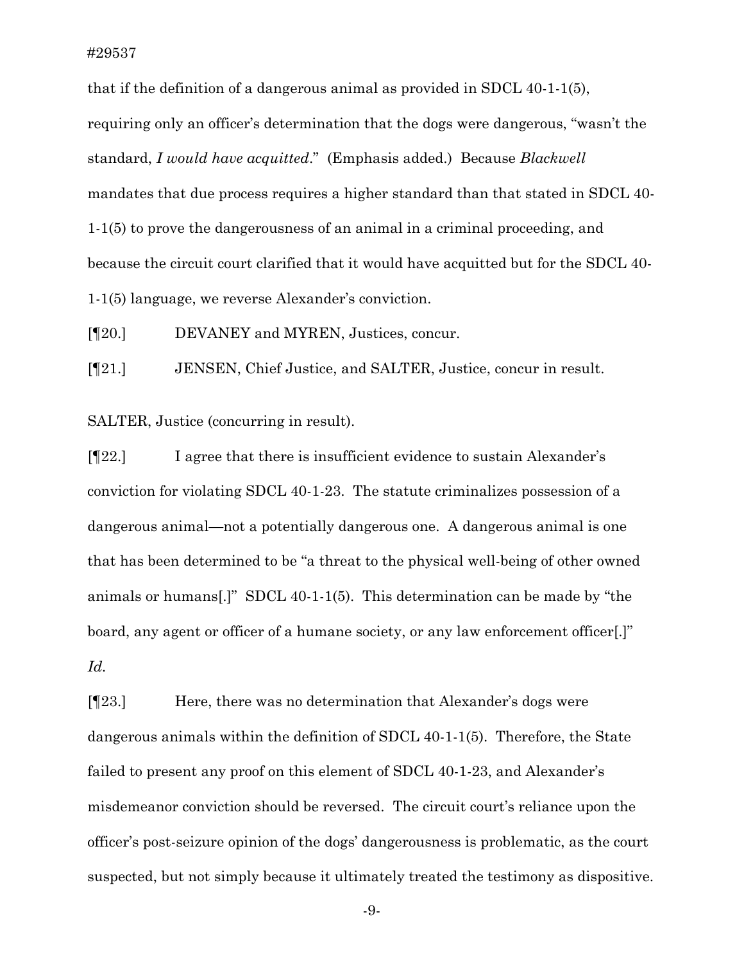that if the definition of a dangerous animal as provided in SDCL 40-1-1(5), requiring only an officer's determination that the dogs were dangerous, "wasn't the standard, *I would have acquitted*." (Emphasis added.) Because *Blackwell* mandates that due process requires a higher standard than that stated in SDCL 40- 1-1(5) to prove the dangerousness of an animal in a criminal proceeding, and because the circuit court clarified that it would have acquitted but for the SDCL 40- 1-1(5) language, we reverse Alexander's conviction.

[¶20.] DEVANEY and MYREN, Justices, concur.

[¶21.] JENSEN, Chief Justice, and SALTER, Justice, concur in result.

SALTER, Justice (concurring in result).

[¶22.] I agree that there is insufficient evidence to sustain Alexander's conviction for violating SDCL 40-1-23. The statute criminalizes possession of a dangerous animal—not a potentially dangerous one. A dangerous animal is one that has been determined to be "a threat to the physical well-being of other owned animals or humans[.]" SDCL 40-1-1(5). This determination can be made by "the board, any agent or officer of a humane society, or any law enforcement officer[.]" *Id.*

[¶23.] Here, there was no determination that Alexander's dogs were dangerous animals within the definition of SDCL 40-1-1(5). Therefore, the State failed to present any proof on this element of SDCL 40-1-23, and Alexander's misdemeanor conviction should be reversed. The circuit court's reliance upon the officer's post-seizure opinion of the dogs' dangerousness is problematic, as the court suspected, but not simply because it ultimately treated the testimony as dispositive.

-9-